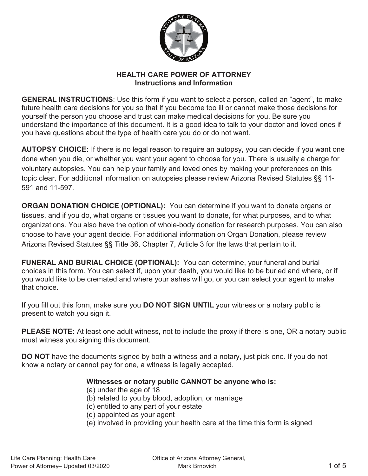

## **HEALTH CARE POWER OF ATTORNEY Instructions and Information**

**GENERAL INSTRUCTIONS**: Use this form if you want to select a person, called an "agent", to make future health care decisions for you so that if you become too ill or cannot make those decisions for yourself the person you choose and trust can make medical decisions for you. Be sure you understand the importance of this document. It is a good idea to talk to your doctor and loved ones if you have questions about the type of health care you do or do not want.

**AUTOPSY CHOICE:** If there is no legal reason to require an autopsy, you can decide if you want one done when you die, or whether you want your agent to choose for you. There is usually a charge for voluntary autopsies. You can help your family and loved ones by making your preferences on this topic clear. For additional information on autopsies please review Arizona Revised Statutes §§ 11- 591 and 11-597.

**ORGAN DONATION CHOICE (OPTIONAL):** You can determine if you want to donate organs or tissues, and if you do, what organs or tissues you want to donate, for what purposes, and to what organizations. You also have the option of whole-body donation for research purposes. You can also choose to have your agent decide. For additional information on Organ Donation, please review Arizona Revised Statutes §§ Title 36, Chapter 7, Article 3 for the laws that pertain to it.

**FUNERAL AND BURIAL CHOICE (OPTIONAL):** You can determine, your funeral and burial choices in this form. You can select if, upon your death, you would like to be buried and where, or if you would like to be cremated and where your ashes will go, or you can select your agent to make that choice.

If you fill out this form, make sure you **DO NOT SIGN UNTIL** your witness or a notary public is present to watch you sign it.

**PLEASE NOTE:** At least one adult witness, not to include the proxy if there is one, OR a notary public must witness you signing this document.

**DO NOT** have the documents signed by both a witness and a notary, just pick one. If you do not know a notary or cannot pay for one, a witness is legally accepted.

#### **Witnesses or notary public CANNOT be anyone who is:**

- (a) under the age of 18
- (b) related to you by blood, adoption, or marriage
- (c) entitled to any part of your estate
- (d) appointed as your agent
- (e) involved in providing your health care at the time this form is signed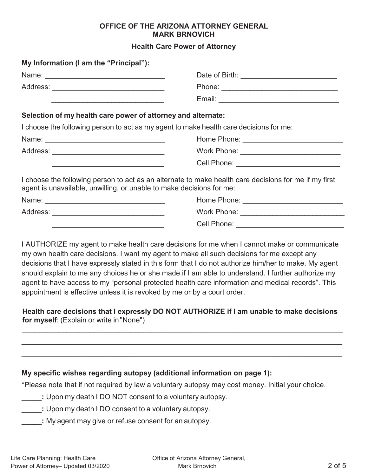#### **OFFICE OF THE ARIZONA ATTORNEY GENERAL MARK BRNOVICH**

#### **Health Care Power of Attorney**

| My Information (I am the "Principal"):                              |                                                                                                                                                                               |
|---------------------------------------------------------------------|-------------------------------------------------------------------------------------------------------------------------------------------------------------------------------|
|                                                                     |                                                                                                                                                                               |
|                                                                     |                                                                                                                                                                               |
|                                                                     |                                                                                                                                                                               |
| Selection of my health care power of attorney and alternate:        |                                                                                                                                                                               |
|                                                                     | I choose the following person to act as my agent to make health care decisions for me:                                                                                        |
|                                                                     |                                                                                                                                                                               |
|                                                                     |                                                                                                                                                                               |
| <u> 1989 - Johann John Stone, mars eta erromaniar eta erromania</u> | Cell Phone: _______________________________                                                                                                                                   |
|                                                                     | I choose the following person to act as an alternate to make health care decisions for me if my first<br>agent is unavailable, unwilling, or unable to make decisions for me: |
|                                                                     |                                                                                                                                                                               |
|                                                                     |                                                                                                                                                                               |
|                                                                     | Cell Phone: <u>______</u>                                                                                                                                                     |

I AUTHORIZE my agent to make health care decisions for me when I cannot make or communicate my own health care decisions. I want my agent to make all such decisions for me except any decisions that I have expressly stated in this form that I do not authorize him/her to make. My agent should explain to me any choices he or she made if I am able to understand. I further authorize my agent to have access to my "personal protected health care information and medical records". This appointment is effective unless it is revoked by me or by a court order.

**Health care decisions that I expressly DO NOT AUTHORIZE if I am unable to make decisions for myself**: (Explain or write in "None")

 $\mathcal{L}_\mathcal{L} = \{ \mathcal{L}_\mathcal{L} = \{ \mathcal{L}_\mathcal{L} = \{ \mathcal{L}_\mathcal{L} = \{ \mathcal{L}_\mathcal{L} = \{ \mathcal{L}_\mathcal{L} = \{ \mathcal{L}_\mathcal{L} = \{ \mathcal{L}_\mathcal{L} = \{ \mathcal{L}_\mathcal{L} = \{ \mathcal{L}_\mathcal{L} = \{ \mathcal{L}_\mathcal{L} = \{ \mathcal{L}_\mathcal{L} = \{ \mathcal{L}_\mathcal{L} = \{ \mathcal{L}_\mathcal{L} = \{ \mathcal{L}_\mathcal{$ 

 $\mathcal{L}_\mathcal{L} = \mathcal{L}_\mathcal{L} = \mathcal{L}_\mathcal{L} = \mathcal{L}_\mathcal{L} = \mathcal{L}_\mathcal{L} = \mathcal{L}_\mathcal{L} = \mathcal{L}_\mathcal{L} = \mathcal{L}_\mathcal{L} = \mathcal{L}_\mathcal{L} = \mathcal{L}_\mathcal{L} = \mathcal{L}_\mathcal{L} = \mathcal{L}_\mathcal{L} = \mathcal{L}_\mathcal{L} = \mathcal{L}_\mathcal{L} = \mathcal{L}_\mathcal{L} = \mathcal{L}_\mathcal{L} = \mathcal{L}_\mathcal{L}$  $\mathcal{L}_\mathcal{L} = \{ \mathcal{L}_\mathcal{L} = \{ \mathcal{L}_\mathcal{L} = \{ \mathcal{L}_\mathcal{L} = \{ \mathcal{L}_\mathcal{L} = \{ \mathcal{L}_\mathcal{L} = \{ \mathcal{L}_\mathcal{L} = \{ \mathcal{L}_\mathcal{L} = \{ \mathcal{L}_\mathcal{L} = \{ \mathcal{L}_\mathcal{L} = \{ \mathcal{L}_\mathcal{L} = \{ \mathcal{L}_\mathcal{L} = \{ \mathcal{L}_\mathcal{L} = \{ \mathcal{L}_\mathcal{L} = \{ \mathcal{L}_\mathcal{$ 

#### **My specific wishes regarding autopsy (additional information on page 1):**

\*Please note that if not required by law a voluntary autopsy may cost money. Initial your choice.

- **\_\_\_\_\_:** Upon my death I DO NOT consent to a voluntary autopsy.
- **\_\_\_\_\_:** Upon my death I DO consent to a voluntary autopsy.
- **\_\_\_\_\_:** My agent may give or refuse consent for an autopsy.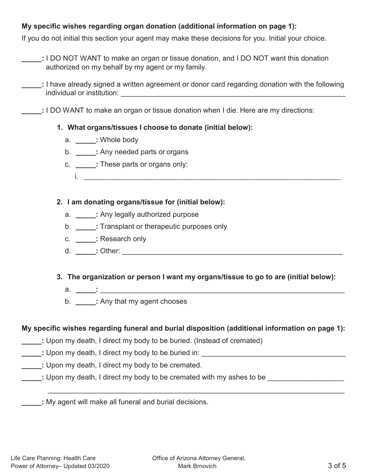# **My specific wishes regarding organ donation (additional information on page 1):**

If you do not initial this section your agent may make these decisions for you. Initial your choice.

- **\_\_\_\_\_:** I DO NOT WANT to make an organ or tissue donation, and I DO NOT want this donation authorized on my behalf by my agent or my family.
- **\_\_\_\_\_:** I have already signed a written agreement or donor card regarding donation with the following individual or institution: **with a set of the set of the set of the set of the set of the set of the set of the set of the set of the set of the set of the set of the set of the set of the set of the set of the set of the**

**\_\_\_\_\_:** I DO WANT to make an organ or tissue donation when I die. Here are my directions:

## **1. What organs/tissues I choose to donate (initial below):**

- a. **\_\_\_\_\_:** Whole body
- b. **\_\_\_\_\_:** Any needed parts or organs
- c. **\_\_\_\_\_:** These parts or organs only:
	- i.

## **2. I am donating organs/tissue for (initial below):**

- a. **\_\_\_\_\_:** Any legally authorized purpose
- b. **\_\_\_\_\_:** Transplant or therapeutic purposes only
- c. **\_\_\_\_\_:** Research only
- d. **\_\_\_\_\_:** Other: \_\_\_\_\_\_\_\_\_\_\_\_\_\_\_\_\_\_\_\_\_\_\_\_\_\_\_\_\_\_\_\_\_\_\_\_\_\_\_\_\_\_\_\_\_\_\_\_\_\_\_\_\_\_\_

# **3. The organization or person I want my organs/tissue to go to are (initial below):**

- a. <u>\_\_\_\_\_</u>:
	- b. **\_\_\_\_\_:** Any that my agent chooses

# **My specific wishes regarding funeral and burial disposition (additional information on page 1):**

 $\mathcal{L}_\text{max}$  , and the contribution of the contribution of the contribution of the contribution of the contribution of the contribution of the contribution of the contribution of the contribution of the contribution of t

- **\_\_\_\_\_:** Upon my death, I direct my body to be buried. (Instead of cremated)
- **:** Upon my death, I direct my body to be buried in:
- **\_\_\_\_\_:** Upon my death, I direct my body to be cremated.
- **\_\_\_\_\_: Upon my death, I direct my body to be cremated with my ashes to be \_\_\_\_\_\_\_\_\_\_\_\_**

**\_\_\_\_\_:** My agent will make all funeral and burial decisions.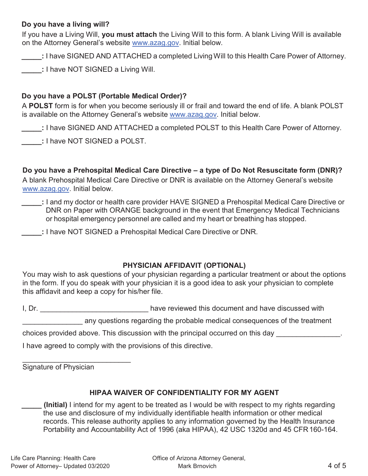### **Do you have a living will?**

If you have a Living Will, **you must attach** the Living Will to this form. A blank Living Will is available on the Attorney General's website www.azag.gov. Initial below.

**\_\_\_\_\_:** I have SIGNED AND ATTACHED a completed Living Will to this Health Care Power of Attorney.

**\_\_\_\_\_:** I have NOT SIGNED a Living Will.

# **Do you have a POLST (Portable Medical Order)?**

A **POLST** form is for when you become seriously ill or frail and toward the end of life. A blank POLST is available on the Attorney General's website www.azag.gov. Initial below.

**\_\_\_\_\_:** I have SIGNED AND ATTACHED a completed POLST to this Health Care Power of Attorney.

**\_\_\_\_\_:** I have NOT SIGNED a POLST.

**Do you have a Prehospital Medical Care Directive – a type of Do Not Resuscitate form (DNR)?**  A blank Prehospital Medical Care Directive or DNR is available on the Attorney General's website www.azag.gov. Initial below.

- **\_\_\_\_\_:** I and my doctor or health care provider HAVE SIGNED a Prehospital Medical Care Directive or DNR on Paper with ORANGE background in the event that Emergency Medical Technicians or hospital emergency personnel are called and my heart or breathing has stopped.
- **\_\_\_\_\_:** I have NOT SIGNED a Prehospital Medical Care Directive or DNR.

#### **PHYSICIAN AFFIDAVIT (OPTIONAL)**

You may wish to ask questions of your physician regarding a particular treatment or about the options in the form. If you do speak with your physician it is a good idea to ask your physician to complete this affidavit and keep a copy for his/her file.

I, Dr. \_\_\_\_\_\_\_\_\_\_\_\_\_\_\_\_\_\_\_\_\_\_\_\_\_\_\_\_\_\_\_\_\_\_have reviewed this document and have discussed with

any questions regarding the probable medical consequences of the treatment

choices provided above. This discussion with the principal occurred on this day

I have agreed to comply with the provisions of this directive.

Signature of Physician

 $\overline{\phantom{a}}$  , where  $\overline{\phantom{a}}$  , where  $\overline{\phantom{a}}$  , where  $\overline{\phantom{a}}$ 

# **HIPAA WAIVER OF CONFIDENTIALITY FOR MY AGENT**

**\_\_\_\_\_ (Initial)** I intend for my agent to be treated as I would be with respect to my rights regarding the use and disclosure of my individually identifiable health information or other medical records. This release authority applies to any information governed by the Health Insurance Portability and Accountability Act of 1996 (aka HIPAA), 42 USC 1320d and 45 CFR 160-164.